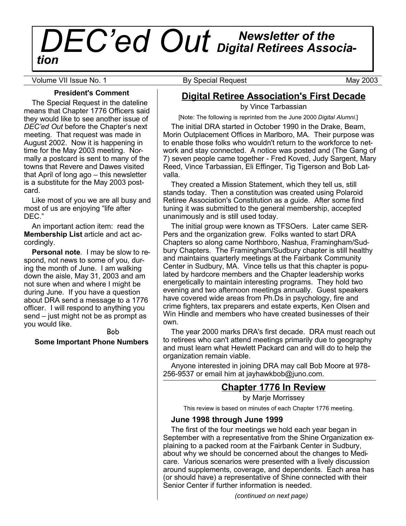# *Newsletter of the DEC'ed Out Digital Retirees Association*

Volume VII Issue No. 1 **By Special Request** May 2003

**President's Comment**

The Special Request in the dateline means that Chapter 1776 Officers said they would like to see another issue of *DEC'ed Out* before the Chapter's next meeting. That request was made in August 2002. Now it is happening in time for the May 2003 meeting. Normally a postcard is sent to many of the towns that Revere and Dawes visited that April of long ago – this newsletter is a substitute for the May 2003 postcard.

Like most of you we are all busy and most of us are enjoying "life after DEC."

An important action item: read the **Membership List** article and act accordingly.

**Personal note**. I may be slow to respond, not news to some of you, during the month of June. I am walking down the aisle, May 31, 2003 and am not sure when and where I might be during June. If you have a question about DRA send a message to a 1776 officer. I will respond to anything you send – just might not be as prompt as you would like.

Bob **Some Important Phone Numbers**

# **Digital Retiree Association's First Decade**

by Vince Tarbassian

[Note: The following is reprinted from the June 2000 *Digital Alumni.*]

The initial DRA started in October 1990 in the Drake, Beam, Morin Outplacement Offices in Marlboro, MA. Their purpose was to enable those folks who wouldn't return to the workforce to network and stay connected. A notice was posted and (The Gang of 7) seven people came together - Fred Koved, Judy Sargent, Mary Reed, Vince Tarbassian, Eli Effinger, Tig Tigerson and Bob Latvalla.

They created a Mission Statement, which they tell us, still stands today. Then a constitution was created using Polaroid Retiree Association's Constitution as a guide. After some find tuning it was submitted to the general membership, accepted unanimously and is still used today.

The initial group were known as TFSOers. Later came SER-Pers and the organization grew. Folks wanted to start DRA Chapters so along came Northboro, Nashua, Framingham/Sudbury Chapters. The Framingham/Sudbury chapter is still healthy and maintains quarterly meetings at the Fairbank Community Center in Sudbury, MA. Vince tells us that this chapter is populated by hardcore members and the Chapter leadership works energetically to maintain interesting programs. They hold two evening and two afternoon meetings annually. Guest speakers have covered wide areas from Ph.Ds in psychology, fire and crime fighters, tax preparers and estate experts, Ken Olsen and Win Hindle and members who have created businesses of their own.

The year 2000 marks DRA's first decade. DRA must reach out to retirees who can't attend meetings primarily due to geography and must learn what Hewlett Packard can and will do to help the organization remain viable.

Anyone interested in joining DRA may call Bob Moore at 978- 256-9537 or email him at jayhawkbob@juno.com.

# **Chapter 1776 In Review**

by Marje Morrissey

This review is based on minutes of each Chapter 1776 meeting.

## **June 1998 through June 1999**

The first of the four meetings we hold each year began in September with a representative from the Shine Organization explaining to a packed room at the Fairbank Center in Sudbury, about why we should be concerned about the changes to Medicare. Various scenarios were presented with a lively discussion around supplements, coverage, and dependents. Each area has (or should have) a representative of Shine connected with their Senior Center if further information is needed.

*(continued on next page)*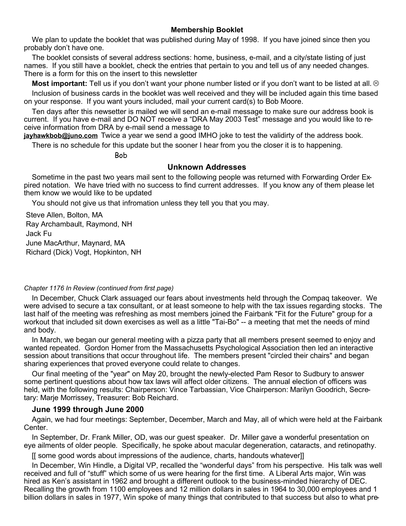## **Membership Booklet**

We plan to update the booklet that was published during May of 1998. If you have joined since then you probably don't have one.

The booklet consists of several address sections: home, business, e-mail, and a city/state listing of just names. If you still have a booklet, check the entries that pertain to you and tell us of any needed changes. There is a form for this on the insert to this newsletter

**Most important:** Tell us if you don't want your phone number listed or if you don't want to be listed at all. Inclusion of business cards in the booklet was well received and they will be included again this time based on your response. If you want yours included, mail your current card(s) to Bob Moore.

Ten days after this newsetter is mailed we will send an e-mail message to make sure our address book is current. If you have e-mail and DO NOT receive a "DRA May 2003 Test" message and you would like to receive information from DRA by e-mail send a message to

**jayhawkbob@juno.com** Twice a year we send a good IMHO joke to test the validirty of the address book.

There is no schedule for this update but the sooner I hear from you the closer it is to happening.

Bob

#### **Unknown Addresses**

Sometime in the past two years mail sent to the following people was returned with Forwarding Order Expired notation. We have tried with no success to find current addresses. If you know any of them please let them know we would like to be updated

You should not give us that infromation unless they tell you that you may.

Steve Allen, Bolton, MA Ray Archambault, Raymond, NH Jack Fu June MacArthur, Maynard, MA Richard (Dick) Vogt, Hopkinton, NH

#### *Chapter 1176 In Review (continued from first page)*

In December, Chuck Clark assuaged our fears about investments held through the Compaq takeover. We were advised to secure a tax consultant, or at least someone to help with the tax issues regarding stocks. The last half of the meeting was refreshing as most members joined the Fairbank "Fit for the Future" group for a workout that included sit down exercises as well as a little "Tai-Bo" -- a meeting that met the needs of mind and body.

In March, we began our general meeting with a pizza party that all members present seemed to enjoy and wanted repeated. Gordon Homer from the Massachusetts Psychological Association then led an interactive session about transitions that occur throughout life. The members present "circled their chairs" and began sharing experiences that proved everyone could relate to changes.

Our final meeting of the "year" on May 20, brought the newly-elected Pam Resor to Sudbury to answer some pertinent questions about how tax laws will affect older citizens. The annual election of officers was held, with the following results: Chairperson: Vince Tarbassian, Vice Chairperson: Marilyn Goodrich, Secretary: Marje Morrissey, Treasurer: Bob Reichard.

#### **June 1999 through June 2000**

Again, we had four meetings: September, December, March and May, all of which were held at the Fairbank Center.

In September, Dr. Frank Miller, OD, was our guest speaker. Dr. Miller gave a wonderful presentation on eye ailments of older people. Specifically, he spoke about macular degeneration, cataracts, and retinopathy.

[[ some good words about impressions of the audience, charts, handouts whatever]]

In December, Win Hindle, a Digital VP, recalled the "wonderful days" from his perspective. His talk was well received and full of "stuff" which some of us were hearing for the first time. A Liberal Arts major, Win was hired as Ken's assistant in 1962 and brought a different outlook to the business-minded hierarchy of DEC. Recalling the growth from 1100 employees and 12 million dollars in sales in 1964 to 30,000 employees and 1 billion dollars in sales in 1977, Win spoke of many things that contributed to that success but also to what pre-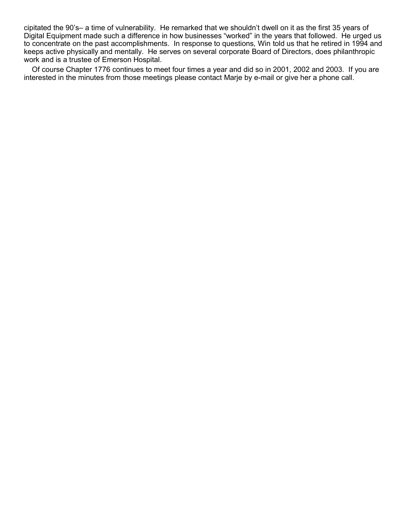cipitated the 90's– a time of vulnerability. He remarked that we shouldn't dwell on it as the first 35 years of Digital Equipment made such a difference in how businesses "worked" in the years that followed. He urged us to concentrate on the past accomplishments. In response to questions, Win told us that he retired in 1994 and keeps active physically and mentally. He serves on several corporate Board of Directors, does philanthropic work and is a trustee of Emerson Hospital.

Of course Chapter 1776 continues to meet four times a year and did so in 2001, 2002 and 2003. If you are interested in the minutes from those meetings please contact Marje by e-mail or give her a phone call.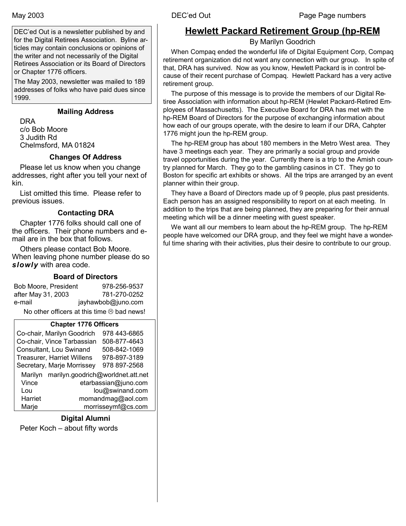DEC'ed Out is a newsletter published by and for the Digital Retirees Association. Byline articles may contain conclusions or opinions of the writer and not necessarily of the Digital Retirees Association or its Board of Directors or Chapter 1776 officers.

The May 2003, newsletter was mailed to 189 addresses of folks who have paid dues since 1999.

## **Mailing Address**

DRA c/o Bob Moore 3 Judith Rd Chelmsford, MA 01824

## **Changes Of Address**

Please let us know when you change addresses, right after you tell your next of kin.

List omitted this time. Please refer to previous issues.

## **Contacting DRA**

Chapter 1776 folks should call one of the officers. Their phone numbers and email are in the box that follows.

Others please contact Bob Moore. When leaving phone number please do so *slowly* with area code.

## **Board of Directors**

| Bob Moore, President                               | 978-256-9537       |  |
|----------------------------------------------------|--------------------|--|
| after May 31, 2003                                 | 781-270-0252       |  |
| e-mail                                             | jayhawbob@juno.com |  |
| No other officers at this time $\otimes$ bad news! |                    |  |

#### **Chapter 1776 Officers**

|                                           | Co-chair, Marilyn Goodrich        | 978 443-6865 |
|-------------------------------------------|-----------------------------------|--------------|
|                                           | Co-chair, Vince Tarbassian        | 508-877-4643 |
| Consultant, Lou Swinand                   |                                   | 508-842-1069 |
|                                           | <b>Treasurer, Harriet Willens</b> | 978-897-3189 |
|                                           | Secretary, Marje Morrissey        | 978 897-2568 |
| Marilyn marilyn.goodrich@worldnet.att.net |                                   |              |
| Vince<br>etarbassian@juno.com             |                                   |              |
| lou@swinand.com<br>Lou                    |                                   |              |
| Harriet<br>momandmag@aol.com              |                                   |              |
| Marje                                     | morrisseymf@cs.com                |              |
|                                           |                                   |              |

#### **Digital Alumni**

Peter Koch – about fifty words

# **Hewlett Packard Retirement Group (hp-REM**

By Marilyn Goodrich

When Compaq ended the wonderful life of Digital Equipment Corp, Compaq retirement organization did not want any connection with our group. In spite of that, DRA has survived. Now as you know, Hewlett Packard is in control because of their recent purchase of Compaq. Hewlett Packard has a very active retirement group.

The purpose of this message is to provide the members of our Digital Retiree Association with information about hp-REM (Hewlet Packard-Retired Employees of Massachusetts). The Executive Board for DRA has met with the hp-REM Board of Directors for the purpose of exchanging information about how each of our groups operate, with the desire to learn if our DRA, Cahpter 1776 might joun the hp-REM group.

The hp-REM group has about 180 members in the Metro West area. They have 3 meetings each year. They are primarily a social group and provide travel opportunities during the year. Currently there is a trip to the Amish country planned for March. They go to the gambling casinos in CT. They go to Boston for specific art exhibits or shows. All the trips are arranged by an event planner within their group.

They have a Board of Directors made up of 9 people, plus past presidents. Each person has an assigned responsibility to report on at each meeting. In addition to the trips that are being planned, they are preparing for their annual meeting which will be a dinner meeting with guest speaker.

We want all our members to learn about the hp-REM group. The hp-REM people have welcomed our DRA group, and they feel we might have a wonderful time sharing with their activities, plus their desire to contribute to our group.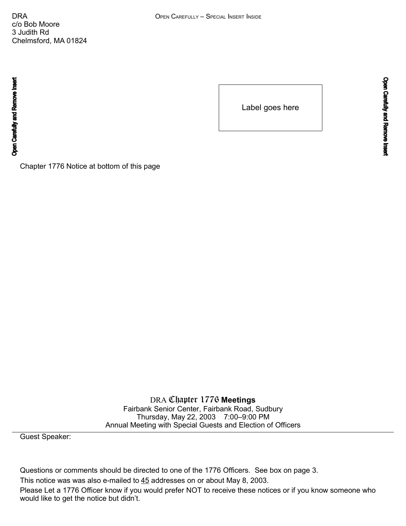c/o Bob Moore 3 Judith Rd Chelmsford, MA 01824

Open Carefully and Remove Insert

Label goes here

Chapter 1776 Notice at bottom of this page

DRA Chapter 1776 **Meetings** Fairbank Senior Center, Fairbank Road, Sudbury Thursday, May 22, 2003 7:00–9:00 PM Annual Meeting with Special Guests and Election of Officers

Guest Speaker:

Questions or comments should be directed to one of the 1776 Officers. See box on page 3. This notice was was also e-mailed to 45 addresses on or about May 8, 2003. Please Let a 1776 Officer know if you would prefer NOT to receive these notices or if you know someone who would like to get the notice but didn't.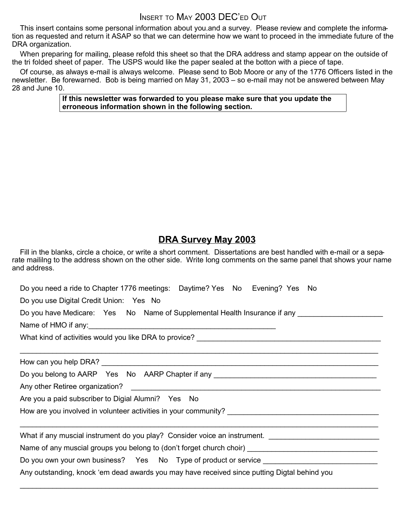# INSERT TO MAY 2003 DEC'ED OUT

This insert contains some personal information about you.and a survey. Please review and complete the information as requested and return it ASAP so that we can determine how we want to proceed in the immediate future of the DRA organization.

When preparing for mailing, please refold this sheet so that the DRA address and stamp appear on the outside of the tri folded sheet of paper. The USPS would like the paper sealed at the botton with a piece of tape.

Of course, as always e-mail is always welcome. Please send to Bob Moore or any of the 1776 Officers listed in the newsletter. Be forewarned. Bob is being married on May 31, 2003 – so e-mail may not be answered between May 28 and June 10.

#### **If this newsletter was forwarded to you please make sure that you update the erroneous information shown in the following section.**

# **DRA Survey May 2003**

Fill in the blanks, circle a choice, or write a short comment. Dissertations are best handled with e-mail or a separate maililng to the address shown on the other side. Write long comments on the same panel that shows your name and address.

| Do you need a ride to Chapter 1776 meetings: Daytime? Yes No Evening? Yes No                 |  |  |
|----------------------------------------------------------------------------------------------|--|--|
| Do you use Digital Credit Union: Yes No                                                      |  |  |
| Do you have Medicare: Yes No Name of Supplemental Health Insurance if any _____________      |  |  |
|                                                                                              |  |  |
|                                                                                              |  |  |
|                                                                                              |  |  |
|                                                                                              |  |  |
| Do you belong to AARP Yes No AARP Chapter if any _______________________________             |  |  |
|                                                                                              |  |  |
| Are you a paid subscriber to Digial Alumni? Yes No                                           |  |  |
|                                                                                              |  |  |
|                                                                                              |  |  |
| What if any muscial instrument do you play? Consider voice an instrument.                    |  |  |
|                                                                                              |  |  |
| Do you own your own business? Yes No Type of product or service _________________            |  |  |
| Any outstanding, knock 'em dead awards you may have received since putting Digtal behind you |  |  |